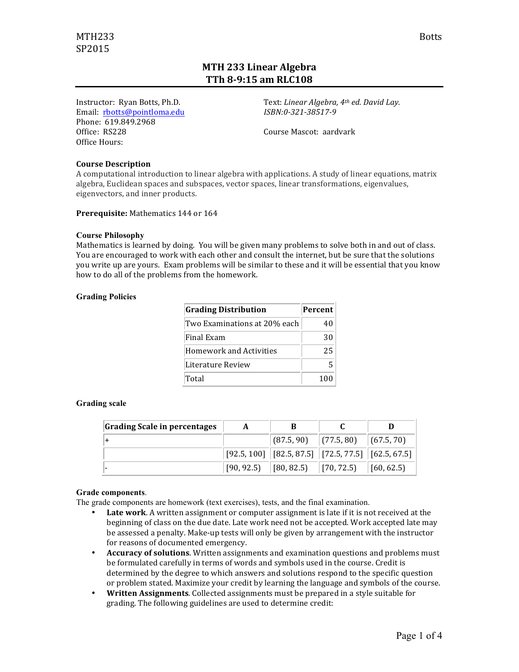# **MTH 233 Linear Algebra TTh 8-9:15 am RLC108**

Instructor: Ryan Botts, Ph.D. Email: rbotts@pointloma.edu Phone: 619.849.2968 Office: RS228 Office Hours:

Text: Linear Algebra, 4<sup>th</sup> ed. David Lay. *ISBN:0-321-38517-9*

Course Mascot: aardvark

### **Course Description**

A computational introduction to linear algebra with applications. A study of linear equations, matrix algebra, Euclidean spaces and subspaces, vector spaces, linear transformations, eigenvalues, eigenvectors, and inner products.

**Prerequisite:** Mathematics 144 or 164

### **Course Philosophy**

Mathematics is learned by doing. You will be given many problems to solve both in and out of class. You are encouraged to work with each other and consult the internet, but be sure that the solutions you write up are yours. Exam problems will be similar to these and it will be essential that you know how to do all of the problems from the homework.

#### **Grading Policies**

| <b>Grading Distribution</b>  | Percent |
|------------------------------|---------|
| Two Examinations at 20% each | 40      |
| Final Exam                   | 30      |
| Homework and Activities      | 25      |
| Literature Review            |         |
| Total                        | 100     |

### **Grading scale**

| Grading Scale in percentages | A | В                                                                                                                                                                   |  |
|------------------------------|---|---------------------------------------------------------------------------------------------------------------------------------------------------------------------|--|
|                              |   | $\vert$ (87.5, 90) $\vert$ (77.5, 80) $\vert$ (67.5, 70)                                                                                                            |  |
|                              |   | $[92.5, 100]$ $[82.5, 87.5]$ $[72.5, 77.5]$ $[62.5, 67.5]$                                                                                                          |  |
|                              |   | $\begin{bmatrix} 90, 92.5 \end{bmatrix}$ $\begin{bmatrix} 80, 82.5 \end{bmatrix}$ $\begin{bmatrix} 70, 72.5 \end{bmatrix}$ $\begin{bmatrix} 60, 62.5 \end{bmatrix}$ |  |

#### **Grade components**.

The grade components are homework (text exercises), tests, and the final examination.

- **Late work**. A written assignment or computer assignment is late if it is not received at the beginning of class on the due date. Late work need not be accepted. Work accepted late may be assessed a penalty. Make-up tests will only be given by arrangement with the instructor for reasons of documented emergency.
- Accuracy of solutions. Written assignments and examination questions and problems must be formulated carefully in terms of words and symbols used in the course. Credit is determined by the degree to which answers and solutions respond to the specific question or problem stated. Maximize your credit by learning the language and symbols of the course.
- **Written Assignments**. Collected assignments must be prepared in a style suitable for grading. The following guidelines are used to determine credit: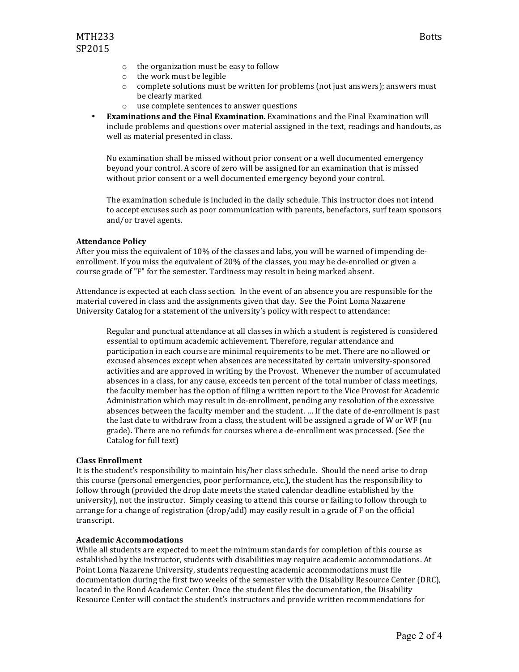- $\circ$  the organization must be easy to follow
- $\circ$  the work must be legible
- $\circ$  complete solutions must be written for problems (not just answers); answers must be clearly marked
- $\circ$  use complete sentences to answer questions
- **Examinations and the Final Examination**. Examinations and the Final Examination will include problems and questions over material assigned in the text, readings and handouts, as well as material presented in class.

No examination shall be missed without prior consent or a well documented emergency beyond your control. A score of zero will be assigned for an examination that is missed without prior consent or a well documented emergency beyond your control.

The examination schedule is included in the daily schedule. This instructor does not intend to accept excuses such as poor communication with parents, benefactors, surf team sponsors and/or travel agents.

#### **Attendance Policy**

After you miss the equivalent of 10% of the classes and labs, you will be warned of impending deenrollment. If you miss the equivalent of 20% of the classes, you may be de-enrolled or given a course grade of "F" for the semester. Tardiness may result in being marked absent.

Attendance is expected at each class section. In the event of an absence you are responsible for the material covered in class and the assignments given that day. See the Point Loma Nazarene University Catalog for a statement of the university's policy with respect to attendance:

Regular and punctual attendance at all classes in which a student is registered is considered essential to optimum academic achievement. Therefore, regular attendance and participation in each course are minimal requirements to be met. There are no allowed or excused absences except when absences are necessitated by certain university-sponsored activities and are approved in writing by the Provost. Whenever the number of accumulated absences in a class, for any cause, exceeds ten percent of the total number of class meetings, the faculty member has the option of filing a written report to the Vice Provost for Academic Administration which may result in de-enrollment, pending any resolution of the excessive absences between the faculty member and the student. ... If the date of de-enrollment is past the last date to withdraw from a class, the student will be assigned a grade of W or WF (no grade). There are no refunds for courses where a de-enrollment was processed. (See the Catalog for full text)

### **Class Enrollment**

It is the student's responsibility to maintain his/her class schedule. Should the need arise to drop this course (personal emergencies, poor performance, etc.), the student has the responsibility to follow through (provided the drop date meets the stated calendar deadline established by the university), not the instructor. Simply ceasing to attend this course or failing to follow through to arrange for a change of registration  $(drop/add)$  may easily result in a grade of  $F$  on the official transcript.

#### **Academic Accommodations**

While all students are expected to meet the minimum standards for completion of this course as established by the instructor, students with disabilities may require academic accommodations. At Point Loma Nazarene University, students requesting academic accommodations must file documentation during the first two weeks of the semester with the Disability Resource Center (DRC), located in the Bond Academic Center. Once the student files the documentation, the Disability Resource Center will contact the student's instructors and provide written recommendations for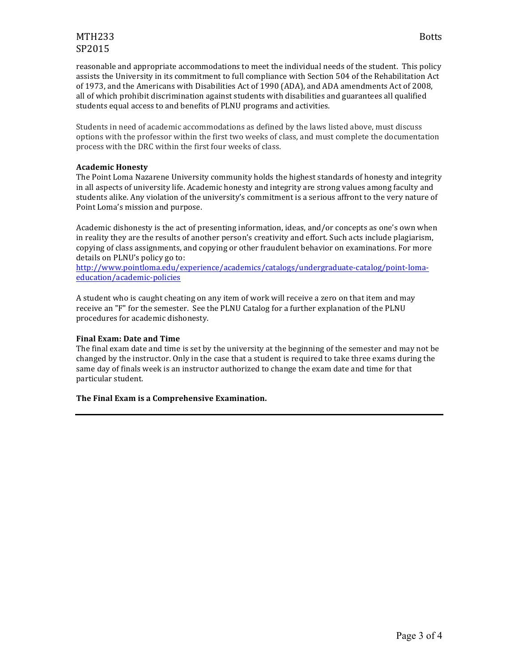# MTH233 Botts SP2015

reasonable and appropriate accommodations to meet the individual needs of the student. This policy assists the University in its commitment to full compliance with Section 504 of the Rehabilitation Act of 1973, and the Americans with Disabilities Act of 1990 (ADA), and ADA amendments Act of 2008, all of which prohibit discrimination against students with disabilities and guarantees all qualified students equal access to and benefits of PLNU programs and activities.

Students in need of academic accommodations as defined by the laws listed above, must discuss options with the professor within the first two weeks of class, and must complete the documentation process with the DRC within the first four weeks of class.

# **Academic Honesty**

The Point Loma Nazarene University community holds the highest standards of honesty and integrity in all aspects of university life. Academic honesty and integrity are strong values among faculty and students alike. Any violation of the university's commitment is a serious affront to the very nature of Point Loma's mission and purpose.

Academic dishonesty is the act of presenting information, ideas, and/or concepts as one's own when in reality they are the results of another person's creativity and effort. Such acts include plagiarism, copying of class assignments, and copying or other fraudulent behavior on examinations. For more details on PLNU's policy go to:

http://www.pointloma.edu/experience/academics/catalogs/undergraduate-catalog/point-lomaeducation/academic-policies

A student who is caught cheating on any item of work will receive a zero on that item and may receive an "F" for the semester. See the PLNU Catalog for a further explanation of the PLNU procedures for academic dishonesty.

# **Final Exam: Date and Time**

The final exam date and time is set by the university at the beginning of the semester and may not be changed by the instructor. Only in the case that a student is required to take three exams during the same day of finals week is an instructor authorized to change the exam date and time for that particular student.

# **The Final Exam is a Comprehensive Examination.**